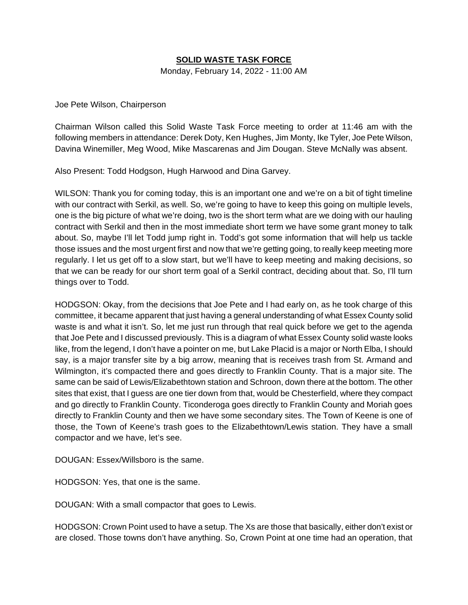## **SOLID WASTE TASK FORCE**

Monday, February 14, 2022 - 11:00 AM

Joe Pete Wilson, Chairperson

Chairman Wilson called this Solid Waste Task Force meeting to order at 11:46 am with the following members in attendance: Derek Doty, Ken Hughes, Jim Monty, Ike Tyler, Joe Pete Wilson, Davina Winemiller, Meg Wood, Mike Mascarenas and Jim Dougan. Steve McNally was absent.

Also Present: Todd Hodgson, Hugh Harwood and Dina Garvey.

WILSON: Thank you for coming today, this is an important one and we're on a bit of tight timeline with our contract with Serkil, as well. So, we're going to have to keep this going on multiple levels, one is the big picture of what we're doing, two is the short term what are we doing with our hauling contract with Serkil and then in the most immediate short term we have some grant money to talk about. So, maybe I'll let Todd jump right in. Todd's got some information that will help us tackle those issues and the most urgent first and now that we're getting going, to really keep meeting more regularly. I let us get off to a slow start, but we'll have to keep meeting and making decisions, so that we can be ready for our short term goal of a Serkil contract, deciding about that. So, I'll turn things over to Todd.

HODGSON: Okay, from the decisions that Joe Pete and I had early on, as he took charge of this committee, it became apparent that just having a general understanding of what Essex County solid waste is and what it isn't. So, let me just run through that real quick before we get to the agenda that Joe Pete and I discussed previously. This is a diagram of what Essex County solid waste looks like, from the legend, I don't have a pointer on me, but Lake Placid is a major or North Elba, I should say, is a major transfer site by a big arrow, meaning that is receives trash from St. Armand and Wilmington, it's compacted there and goes directly to Franklin County. That is a major site. The same can be said of Lewis/Elizabethtown station and Schroon, down there at the bottom. The other sites that exist, that I guess are one tier down from that, would be Chesterfield, where they compact and go directly to Franklin County. Ticonderoga goes directly to Franklin County and Moriah goes directly to Franklin County and then we have some secondary sites. The Town of Keene is one of those, the Town of Keene's trash goes to the Elizabethtown/Lewis station. They have a small compactor and we have, let's see.

DOUGAN: Essex/Willsboro is the same.

HODGSON: Yes, that one is the same.

DOUGAN: With a small compactor that goes to Lewis.

HODGSON: Crown Point used to have a setup. The Xs are those that basically, either don't exist or are closed. Those towns don't have anything. So, Crown Point at one time had an operation, that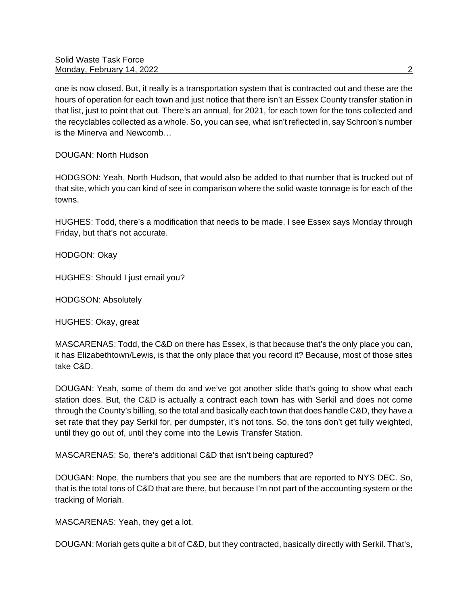one is now closed. But, it really is a transportation system that is contracted out and these are the hours of operation for each town and just notice that there isn't an Essex County transfer station in that list, just to point that out. There's an annual, for 2021, for each town for the tons collected and the recyclables collected as a whole. So, you can see, what isn't reflected in, say Schroon's number is the Minerva and Newcomb…

DOUGAN: North Hudson

HODGSON: Yeah, North Hudson, that would also be added to that number that is trucked out of that site, which you can kind of see in comparison where the solid waste tonnage is for each of the towns.

HUGHES: Todd, there's a modification that needs to be made. I see Essex says Monday through Friday, but that's not accurate.

HODGON: Okay

HUGHES: Should I just email you?

HODGSON: Absolutely

HUGHES: Okay, great

MASCARENAS: Todd, the C&D on there has Essex, is that because that's the only place you can, it has Elizabethtown/Lewis, is that the only place that you record it? Because, most of those sites take C&D.

DOUGAN: Yeah, some of them do and we've got another slide that's going to show what each station does. But, the C&D is actually a contract each town has with Serkil and does not come through the County's billing, so the total and basically each town that does handle C&D, they have a set rate that they pay Serkil for, per dumpster, it's not tons. So, the tons don't get fully weighted, until they go out of, until they come into the Lewis Transfer Station.

MASCARENAS: So, there's additional C&D that isn't being captured?

DOUGAN: Nope, the numbers that you see are the numbers that are reported to NYS DEC. So, that is the total tons of C&D that are there, but because I'm not part of the accounting system or the tracking of Moriah.

MASCARENAS: Yeah, they get a lot.

DOUGAN: Moriah gets quite a bit of C&D, but they contracted, basically directly with Serkil. That's,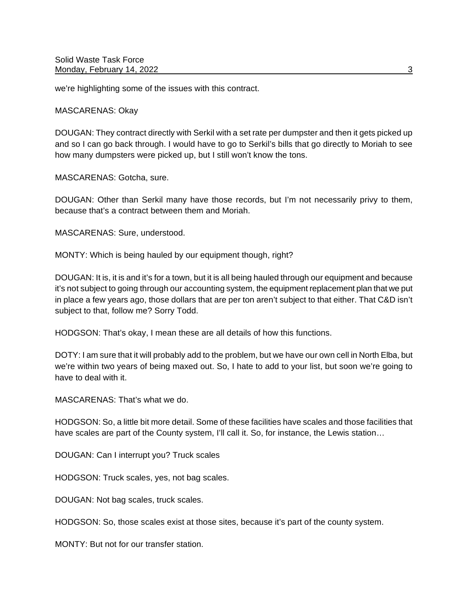we're highlighting some of the issues with this contract.

MASCARENAS: Okay

DOUGAN: They contract directly with Serkil with a set rate per dumpster and then it gets picked up and so I can go back through. I would have to go to Serkil's bills that go directly to Moriah to see how many dumpsters were picked up, but I still won't know the tons.

MASCARENAS: Gotcha, sure.

DOUGAN: Other than Serkil many have those records, but I'm not necessarily privy to them, because that's a contract between them and Moriah.

MASCARENAS: Sure, understood.

MONTY: Which is being hauled by our equipment though, right?

DOUGAN: It is, it is and it's for a town, but it is all being hauled through our equipment and because it's not subject to going through our accounting system, the equipment replacement plan that we put in place a few years ago, those dollars that are per ton aren't subject to that either. That C&D isn't subject to that, follow me? Sorry Todd.

HODGSON: That's okay, I mean these are all details of how this functions.

DOTY: I am sure that it will probably add to the problem, but we have our own cell in North Elba, but we're within two years of being maxed out. So, I hate to add to your list, but soon we're going to have to deal with it.

MASCARENAS: That's what we do.

HODGSON: So, a little bit more detail. Some of these facilities have scales and those facilities that have scales are part of the County system, I'll call it. So, for instance, the Lewis station...

DOUGAN: Can I interrupt you? Truck scales

HODGSON: Truck scales, yes, not bag scales.

DOUGAN: Not bag scales, truck scales.

HODGSON: So, those scales exist at those sites, because it's part of the county system.

MONTY: But not for our transfer station.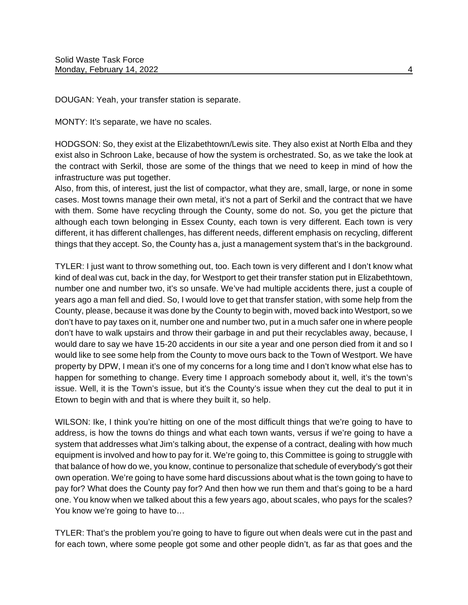DOUGAN: Yeah, your transfer station is separate.

MONTY: It's separate, we have no scales.

HODGSON: So, they exist at the Elizabethtown/Lewis site. They also exist at North Elba and they exist also in Schroon Lake, because of how the system is orchestrated. So, as we take the look at the contract with Serkil, those are some of the things that we need to keep in mind of how the infrastructure was put together.

Also, from this, of interest, just the list of compactor, what they are, small, large, or none in some cases. Most towns manage their own metal, it's not a part of Serkil and the contract that we have with them. Some have recycling through the County, some do not. So, you get the picture that although each town belonging in Essex County, each town is very different. Each town is very different, it has different challenges, has different needs, different emphasis on recycling, different things that they accept. So, the County has a, just a management system that's in the background.

TYLER: I just want to throw something out, too. Each town is very different and I don't know what kind of deal was cut, back in the day, for Westport to get their transfer station put in Elizabethtown, number one and number two, it's so unsafe. We've had multiple accidents there, just a couple of years ago a man fell and died. So, I would love to get that transfer station, with some help from the County, please, because it was done by the County to begin with, moved back into Westport, so we don't have to pay taxes on it, number one and number two, put in a much safer one in where people don't have to walk upstairs and throw their garbage in and put their recyclables away, because, I would dare to say we have 15-20 accidents in our site a year and one person died from it and so I would like to see some help from the County to move ours back to the Town of Westport. We have property by DPW, I mean it's one of my concerns for a long time and I don't know what else has to happen for something to change. Every time I approach somebody about it, well, it's the town's issue. Well, it is the Town's issue, but it's the County's issue when they cut the deal to put it in Etown to begin with and that is where they built it, so help.

WILSON: Ike, I think you're hitting on one of the most difficult things that we're going to have to address, is how the towns do things and what each town wants, versus if we're going to have a system that addresses what Jim's talking about, the expense of a contract, dealing with how much equipment is involved and how to pay for it. We're going to, this Committee is going to struggle with that balance of how do we, you know, continue to personalize that schedule of everybody's got their own operation. We're going to have some hard discussions about what is the town going to have to pay for? What does the County pay for? And then how we run them and that's going to be a hard one. You know when we talked about this a few years ago, about scales, who pays for the scales? You know we're going to have to…

TYLER: That's the problem you're going to have to figure out when deals were cut in the past and for each town, where some people got some and other people didn't, as far as that goes and the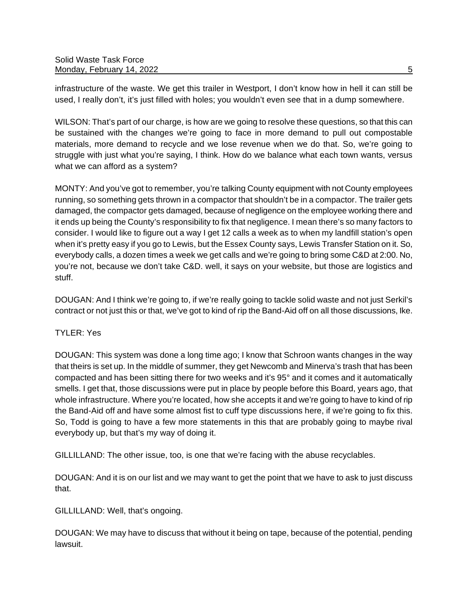infrastructure of the waste. We get this trailer in Westport, I don't know how in hell it can still be used, I really don't, it's just filled with holes; you wouldn't even see that in a dump somewhere.

WILSON: That's part of our charge, is how are we going to resolve these questions, so that this can be sustained with the changes we're going to face in more demand to pull out compostable materials, more demand to recycle and we lose revenue when we do that. So, we're going to struggle with just what you're saying, I think. How do we balance what each town wants, versus what we can afford as a system?

MONTY: And you've got to remember, you're talking County equipment with not County employees running, so something gets thrown in a compactor that shouldn't be in a compactor. The trailer gets damaged, the compactor gets damaged, because of negligence on the employee working there and it ends up being the County's responsibility to fix that negligence. I mean there's so many factors to consider. I would like to figure out a way I get 12 calls a week as to when my landfill station's open when it's pretty easy if you go to Lewis, but the Essex County says, Lewis Transfer Station on it. So, everybody calls, a dozen times a week we get calls and we're going to bring some C&D at 2:00. No, you're not, because we don't take C&D. well, it says on your website, but those are logistics and stuff.

DOUGAN: And I think we're going to, if we're really going to tackle solid waste and not just Serkil's contract or not just this or that, we've got to kind of rip the Band-Aid off on all those discussions, Ike.

# TYLER: Yes

DOUGAN: This system was done a long time ago; I know that Schroon wants changes in the way that theirs is set up. In the middle of summer, they get Newcomb and Minerva's trash that has been compacted and has been sitting there for two weeks and it's 95° and it comes and it automatically smells. I get that, those discussions were put in place by people before this Board, years ago, that whole infrastructure. Where you're located, how she accepts it and we're going to have to kind of rip the Band-Aid off and have some almost fist to cuff type discussions here, if we're going to fix this. So, Todd is going to have a few more statements in this that are probably going to maybe rival everybody up, but that's my way of doing it.

GILLILLAND: The other issue, too, is one that we're facing with the abuse recyclables.

DOUGAN: And it is on our list and we may want to get the point that we have to ask to just discuss that.

GILLILLAND: Well, that's ongoing.

DOUGAN: We may have to discuss that without it being on tape, because of the potential, pending lawsuit.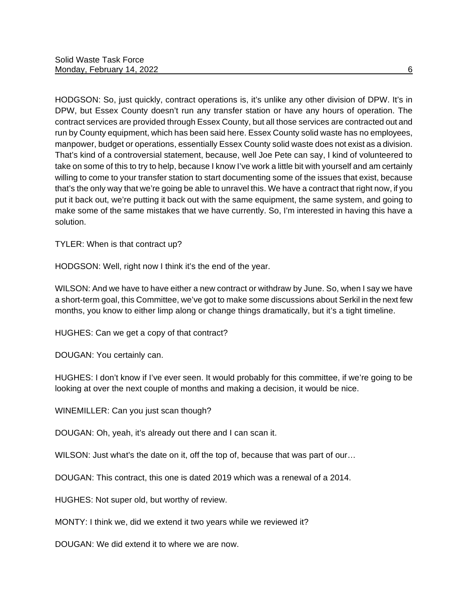HODGSON: So, just quickly, contract operations is, it's unlike any other division of DPW. It's in DPW, but Essex County doesn't run any transfer station or have any hours of operation. The contract services are provided through Essex County, but all those services are contracted out and run by County equipment, which has been said here. Essex County solid waste has no employees, manpower, budget or operations, essentially Essex County solid waste does not exist as a division. That's kind of a controversial statement, because, well Joe Pete can say, I kind of volunteered to take on some of this to try to help, because I know I've work a little bit with yourself and am certainly willing to come to your transfer station to start documenting some of the issues that exist, because that's the only way that we're going be able to unravel this. We have a contract that right now, if you put it back out, we're putting it back out with the same equipment, the same system, and going to make some of the same mistakes that we have currently. So, I'm interested in having this have a solution.

TYLER: When is that contract up?

HODGSON: Well, right now I think it's the end of the year.

WILSON: And we have to have either a new contract or withdraw by June. So, when I say we have a short-term goal, this Committee, we've got to make some discussions about Serkil in the next few months, you know to either limp along or change things dramatically, but it's a tight timeline.

HUGHES: Can we get a copy of that contract?

DOUGAN: You certainly can.

HUGHES: I don't know if I've ever seen. It would probably for this committee, if we're going to be looking at over the next couple of months and making a decision, it would be nice.

WINEMILLER: Can you just scan though?

DOUGAN: Oh, yeah, it's already out there and I can scan it.

WILSON: Just what's the date on it, off the top of, because that was part of our…

DOUGAN: This contract, this one is dated 2019 which was a renewal of a 2014.

HUGHES: Not super old, but worthy of review.

MONTY: I think we, did we extend it two years while we reviewed it?

DOUGAN: We did extend it to where we are now.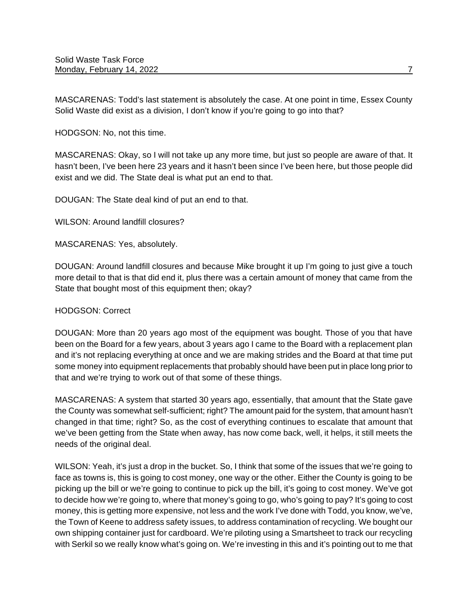MASCARENAS: Todd's last statement is absolutely the case. At one point in time, Essex County Solid Waste did exist as a division, I don't know if you're going to go into that?

HODGSON: No, not this time.

MASCARENAS: Okay, so I will not take up any more time, but just so people are aware of that. It hasn't been, I've been here 23 years and it hasn't been since I've been here, but those people did exist and we did. The State deal is what put an end to that.

DOUGAN: The State deal kind of put an end to that.

WILSON: Around landfill closures?

MASCARENAS: Yes, absolutely.

DOUGAN: Around landfill closures and because Mike brought it up I'm going to just give a touch more detail to that is that did end it, plus there was a certain amount of money that came from the State that bought most of this equipment then; okay?

#### HODGSON: Correct

DOUGAN: More than 20 years ago most of the equipment was bought. Those of you that have been on the Board for a few years, about 3 years ago I came to the Board with a replacement plan and it's not replacing everything at once and we are making strides and the Board at that time put some money into equipment replacements that probably should have been put in place long prior to that and we're trying to work out of that some of these things.

MASCARENAS: A system that started 30 years ago, essentially, that amount that the State gave the County was somewhat self-sufficient; right? The amount paid for the system, that amount hasn't changed in that time; right? So, as the cost of everything continues to escalate that amount that we've been getting from the State when away, has now come back, well, it helps, it still meets the needs of the original deal.

WILSON: Yeah, it's just a drop in the bucket. So, I think that some of the issues that we're going to face as towns is, this is going to cost money, one way or the other. Either the County is going to be picking up the bill or we're going to continue to pick up the bill, it's going to cost money. We've got to decide how we're going to, where that money's going to go, who's going to pay? It's going to cost money, this is getting more expensive, not less and the work I've done with Todd, you know, we've, the Town of Keene to address safety issues, to address contamination of recycling. We bought our own shipping container just for cardboard. We're piloting using a Smartsheet to track our recycling with Serkil so we really know what's going on. We're investing in this and it's pointing out to me that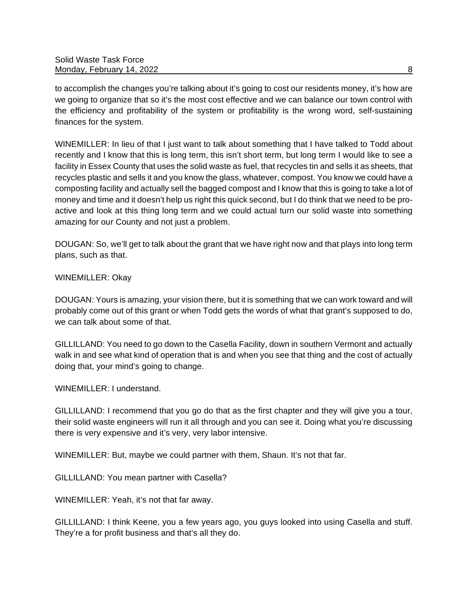to accomplish the changes you're talking about it's going to cost our residents money, it's how are we going to organize that so it's the most cost effective and we can balance our town control with the efficiency and profitability of the system or profitability is the wrong word, self-sustaining finances for the system.

WINEMILLER: In lieu of that I just want to talk about something that I have talked to Todd about recently and I know that this is long term, this isn't short term, but long term I would like to see a facility in Essex County that uses the solid waste as fuel, that recycles tin and sells it as sheets, that recycles plastic and sells it and you know the glass, whatever, compost. You know we could have a composting facility and actually sell the bagged compost and I know that this is going to take a lot of money and time and it doesn't help us right this quick second, but I do think that we need to be proactive and look at this thing long term and we could actual turn our solid waste into something amazing for our County and not just a problem.

DOUGAN: So, we'll get to talk about the grant that we have right now and that plays into long term plans, such as that.

# WINEMILLER: Okay

DOUGAN: Yours is amazing, your vision there, but it is something that we can work toward and will probably come out of this grant or when Todd gets the words of what that grant's supposed to do, we can talk about some of that.

GILLILLAND: You need to go down to the Casella Facility, down in southern Vermont and actually walk in and see what kind of operation that is and when you see that thing and the cost of actually doing that, your mind's going to change.

WINEMILLER: Lunderstand.

GILLILLAND: I recommend that you go do that as the first chapter and they will give you a tour, their solid waste engineers will run it all through and you can see it. Doing what you're discussing there is very expensive and it's very, very labor intensive.

WINEMILLER: But, maybe we could partner with them, Shaun. It's not that far.

GILLILLAND: You mean partner with Casella?

WINEMILLER: Yeah, it's not that far away.

GILLILLAND: I think Keene, you a few years ago, you guys looked into using Casella and stuff. They're a for profit business and that's all they do.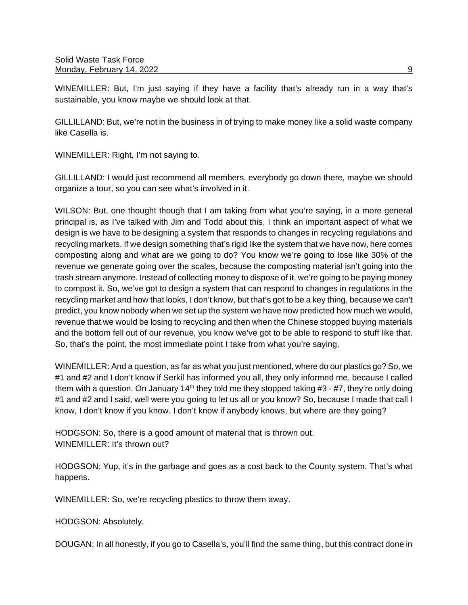WINEMILLER: But, I'm just saying if they have a facility that's already run in a way that's sustainable, you know maybe we should look at that.

GILLILLAND: But, we're not in the business in of trying to make money like a solid waste company like Casella is.

WINEMILLER: Right, I'm not saying to.

GILLILLAND: I would just recommend all members, everybody go down there, maybe we should organize a tour, so you can see what's involved in it.

WILSON: But, one thought though that I am taking from what you're saying, in a more general principal is, as I've talked with Jim and Todd about this, I think an important aspect of what we design is we have to be designing a system that responds to changes in recycling regulations and recycling markets. If we design something that's rigid like the system that we have now, here comes composting along and what are we going to do? You know we're going to lose like 30% of the revenue we generate going over the scales, because the composting material isn't going into the trash stream anymore. Instead of collecting money to dispose of it, we're going to be paying money to compost it. So, we've got to design a system that can respond to changes in regulations in the recycling market and how that looks, I don't know, but that's got to be a key thing, because we can't predict, you know nobody when we set up the system we have now predicted how much we would, revenue that we would be losing to recycling and then when the Chinese stopped buying materials and the bottom fell out of our revenue, you know we've got to be able to respond to stuff like that. So, that's the point, the most immediate point I take from what you're saying.

WINEMILLER: And a question, as far as what you just mentioned, where do our plastics go? So, we #1 and #2 and I don't know if Serkil has informed you all, they only informed me, because I called them with a question. On January 14<sup>th</sup> they told me they stopped taking  $#3 - #7$ , they're only doing #1 and #2 and I said, well were you going to let us all or you know? So, because I made that call I know, I don't know if you know. I don't know if anybody knows, but where are they going?

HODGSON: So, there is a good amount of material that is thrown out. WINEMILLER: It's thrown out?

HODGSON: Yup, it's in the garbage and goes as a cost back to the County system. That's what happens.

WINEMILLER: So, we're recycling plastics to throw them away.

HODGSON: Absolutely.

DOUGAN: In all honestly, if you go to Casella's, you'll find the same thing, but this contract done in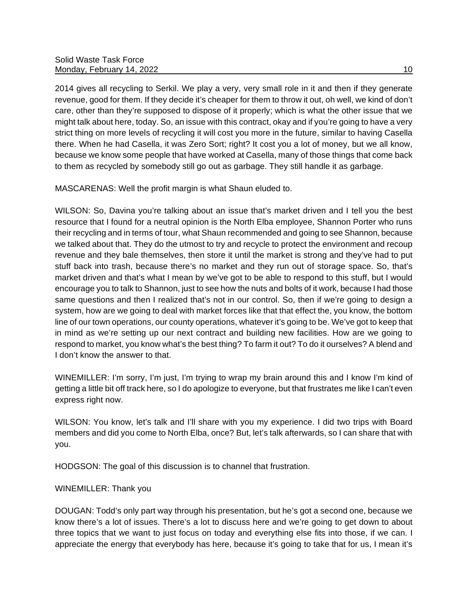2014 gives all recycling to Serkil. We play a very, very small role in it and then if they generate revenue, good for them. If they decide it's cheaper for them to throw it out, oh well, we kind of don't care, other than they're supposed to dispose of it properly; which is what the other issue that we might talk about here, today. So, an issue with this contract, okay and if you're going to have a very strict thing on more levels of recycling it will cost you more in the future, similar to having Casella there. When he had Casella, it was Zero Sort; right? It cost you a lot of money, but we all know, because we know some people that have worked at Casella, many of those things that come back to them as recycled by somebody still go out as garbage. They still handle it as garbage.

MASCARENAS: Well the profit margin is what Shaun eluded to.

WILSON: So, Davina you're talking about an issue that's market driven and I tell you the best resource that I found for a neutral opinion is the North Elba employee, Shannon Porter who runs their recycling and in terms of tour, what Shaun recommended and going to see Shannon, because we talked about that. They do the utmost to try and recycle to protect the environment and recoup revenue and they bale themselves, then store it until the market is strong and they've had to put stuff back into trash, because there's no market and they run out of storage space. So, that's market driven and that's what I mean by we've got to be able to respond to this stuff, but I would encourage you to talk to Shannon, just to see how the nuts and bolts of it work, because I had those same questions and then I realized that's not in our control. So, then if we're going to design a system, how are we going to deal with market forces like that that effect the, you know, the bottom line of our town operations, our county operations, whatever it's going to be. We've got to keep that in mind as we're setting up our next contract and building new facilities. How are we going to respond to market, you know what's the best thing? To farm it out? To do it ourselves? A blend and I don't know the answer to that.

WINEMILLER: I'm sorry, I'm just, I'm trying to wrap my brain around this and I know I'm kind of getting a little bit off track here, so I do apologize to everyone, but that frustrates me like I can't even express right now.

WILSON: You know, let's talk and I'll share with you my experience. I did two trips with Board members and did you come to North Elba, once? But, let's talk afterwards, so I can share that with you.

HODGSON: The goal of this discussion is to channel that frustration.

## WINEMILLER: Thank you

DOUGAN: Todd's only part way through his presentation, but he's got a second one, because we know there's a lot of issues. There's a lot to discuss here and we're going to get down to about three topics that we want to just focus on today and everything else fits into those, if we can. I appreciate the energy that everybody has here, because it's going to take that for us, I mean it's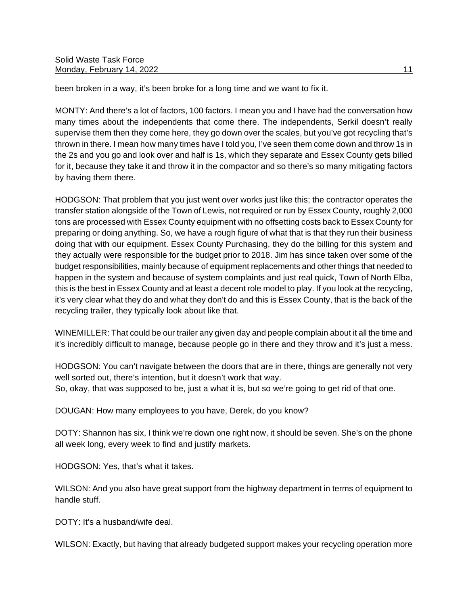been broken in a way, it's been broke for a long time and we want to fix it.

MONTY: And there's a lot of factors, 100 factors. I mean you and I have had the conversation how many times about the independents that come there. The independents, Serkil doesn't really supervise them then they come here, they go down over the scales, but you've got recycling that's thrown in there. I mean how many times have I told you, I've seen them come down and throw 1s in the 2s and you go and look over and half is 1s, which they separate and Essex County gets billed for it, because they take it and throw it in the compactor and so there's so many mitigating factors by having them there.

HODGSON: That problem that you just went over works just like this; the contractor operates the transfer station alongside of the Town of Lewis, not required or run by Essex County, roughly 2,000 tons are processed with Essex County equipment with no offsetting costs back to Essex County for preparing or doing anything. So, we have a rough figure of what that is that they run their business doing that with our equipment. Essex County Purchasing, they do the billing for this system and they actually were responsible for the budget prior to 2018. Jim has since taken over some of the budget responsibilities, mainly because of equipment replacements and other things that needed to happen in the system and because of system complaints and just real quick, Town of North Elba, this is the best in Essex County and at least a decent role model to play. If you look at the recycling, it's very clear what they do and what they don't do and this is Essex County, that is the back of the recycling trailer, they typically look about like that.

WINEMILLER: That could be our trailer any given day and people complain about it all the time and it's incredibly difficult to manage, because people go in there and they throw and it's just a mess.

HODGSON: You can't navigate between the doors that are in there, things are generally not very well sorted out, there's intention, but it doesn't work that way. So, okay, that was supposed to be, just a what it is, but so we're going to get rid of that one.

DOUGAN: How many employees to you have, Derek, do you know?

DOTY: Shannon has six, I think we're down one right now, it should be seven. She's on the phone all week long, every week to find and justify markets.

HODGSON: Yes, that's what it takes.

WILSON: And you also have great support from the highway department in terms of equipment to handle stuff.

DOTY: It's a husband/wife deal.

WILSON: Exactly, but having that already budgeted support makes your recycling operation more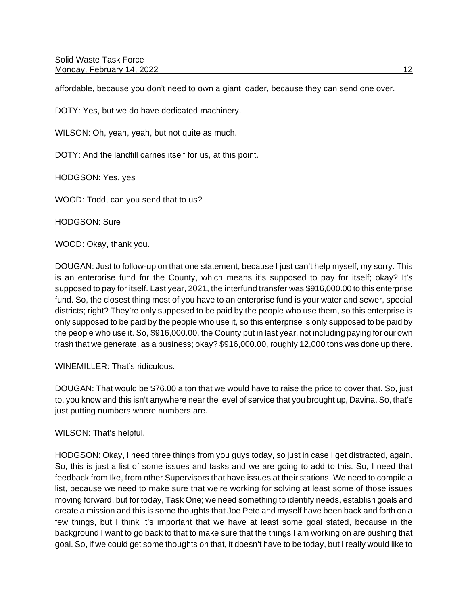affordable, because you don't need to own a giant loader, because they can send one over.

DOTY: Yes, but we do have dedicated machinery.

WILSON: Oh, yeah, yeah, but not quite as much.

DOTY: And the landfill carries itself for us, at this point.

HODGSON: Yes, yes

WOOD: Todd, can you send that to us?

HODGSON: Sure

WOOD: Okay, thank you.

DOUGAN: Just to follow-up on that one statement, because I just can't help myself, my sorry. This is an enterprise fund for the County, which means it's supposed to pay for itself; okay? It's supposed to pay for itself. Last year, 2021, the interfund transfer was \$916,000.00 to this enterprise fund. So, the closest thing most of you have to an enterprise fund is your water and sewer, special districts; right? They're only supposed to be paid by the people who use them, so this enterprise is only supposed to be paid by the people who use it, so this enterprise is only supposed to be paid by the people who use it. So, \$916,000.00, the County put in last year, not including paying for our own trash that we generate, as a business; okay? \$916,000.00, roughly 12,000 tons was done up there.

WINEMILLER: That's ridiculous.

DOUGAN: That would be \$76.00 a ton that we would have to raise the price to cover that. So, just to, you know and this isn't anywhere near the level of service that you brought up, Davina. So, that's just putting numbers where numbers are.

WILSON: That's helpful.

HODGSON: Okay, I need three things from you guys today, so just in case I get distracted, again. So, this is just a list of some issues and tasks and we are going to add to this. So, I need that feedback from Ike, from other Supervisors that have issues at their stations. We need to compile a list, because we need to make sure that we're working for solving at least some of those issues moving forward, but for today, Task One; we need something to identify needs, establish goals and create a mission and this is some thoughts that Joe Pete and myself have been back and forth on a few things, but I think it's important that we have at least some goal stated, because in the background I want to go back to that to make sure that the things I am working on are pushing that goal. So, if we could get some thoughts on that, it doesn't have to be today, but I really would like to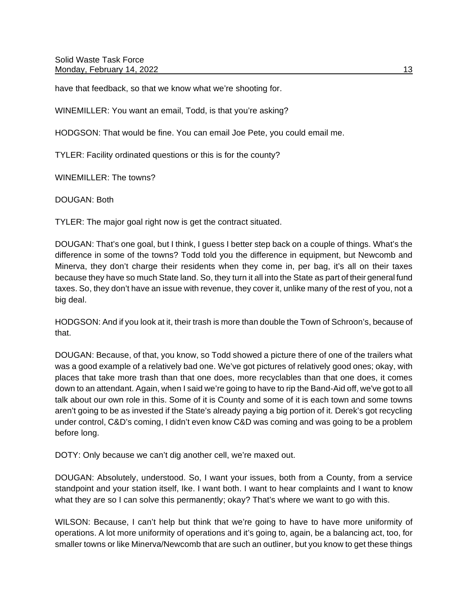Solid Waste Task Force Monday, February 14, 2022 **13** 

have that feedback, so that we know what we're shooting for.

WINEMILLER: You want an email, Todd, is that you're asking?

HODGSON: That would be fine. You can email Joe Pete, you could email me.

TYLER: Facility ordinated questions or this is for the county?

WINEMILLER: The towns?

DOUGAN: Both

TYLER: The major goal right now is get the contract situated.

DOUGAN: That's one goal, but I think, I guess I better step back on a couple of things. What's the difference in some of the towns? Todd told you the difference in equipment, but Newcomb and Minerva, they don't charge their residents when they come in, per bag, it's all on their taxes because they have so much State land. So, they turn it all into the State as part of their general fund taxes. So, they don't have an issue with revenue, they cover it, unlike many of the rest of you, not a big deal.

HODGSON: And if you look at it, their trash is more than double the Town of Schroon's, because of that.

DOUGAN: Because, of that, you know, so Todd showed a picture there of one of the trailers what was a good example of a relatively bad one. We've got pictures of relatively good ones; okay, with places that take more trash than that one does, more recyclables than that one does, it comes down to an attendant. Again, when I said we're going to have to rip the Band-Aid off, we've got to all talk about our own role in this. Some of it is County and some of it is each town and some towns aren't going to be as invested if the State's already paying a big portion of it. Derek's got recycling under control, C&D's coming, I didn't even know C&D was coming and was going to be a problem before long.

DOTY: Only because we can't dig another cell, we're maxed out.

DOUGAN: Absolutely, understood. So, I want your issues, both from a County, from a service standpoint and your station itself, Ike. I want both. I want to hear complaints and I want to know what they are so I can solve this permanently; okay? That's where we want to go with this.

WILSON: Because, I can't help but think that we're going to have to have more uniformity of operations. A lot more uniformity of operations and it's going to, again, be a balancing act, too, for smaller towns or like Minerva/Newcomb that are such an outliner, but you know to get these things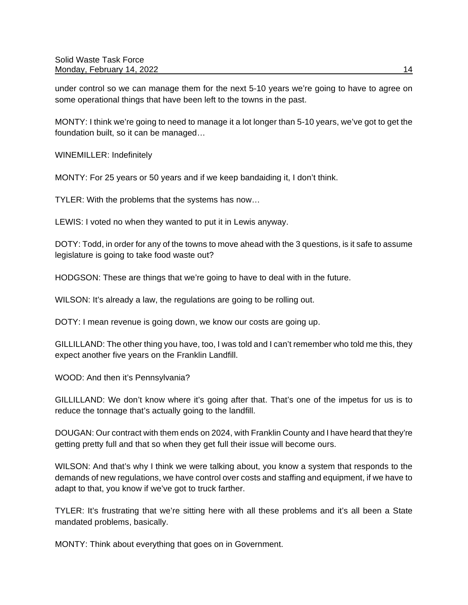under control so we can manage them for the next 5-10 years we're going to have to agree on some operational things that have been left to the towns in the past.

MONTY: I think we're going to need to manage it a lot longer than 5-10 years, we've got to get the foundation built, so it can be managed…

WINEMILLER: Indefinitely

MONTY: For 25 years or 50 years and if we keep bandaiding it, I don't think.

TYLER: With the problems that the systems has now…

LEWIS: I voted no when they wanted to put it in Lewis anyway.

DOTY: Todd, in order for any of the towns to move ahead with the 3 questions, is it safe to assume legislature is going to take food waste out?

HODGSON: These are things that we're going to have to deal with in the future.

WILSON: It's already a law, the regulations are going to be rolling out.

DOTY: I mean revenue is going down, we know our costs are going up.

GILLILLAND: The other thing you have, too, I was told and I can't remember who told me this, they expect another five years on the Franklin Landfill.

WOOD: And then it's Pennsylvania?

GILLILLAND: We don't know where it's going after that. That's one of the impetus for us is to reduce the tonnage that's actually going to the landfill.

DOUGAN: Our contract with them ends on 2024, with Franklin County and I have heard that they're getting pretty full and that so when they get full their issue will become ours.

WILSON: And that's why I think we were talking about, you know a system that responds to the demands of new regulations, we have control over costs and staffing and equipment, if we have to adapt to that, you know if we've got to truck farther.

TYLER: It's frustrating that we're sitting here with all these problems and it's all been a State mandated problems, basically.

MONTY: Think about everything that goes on in Government.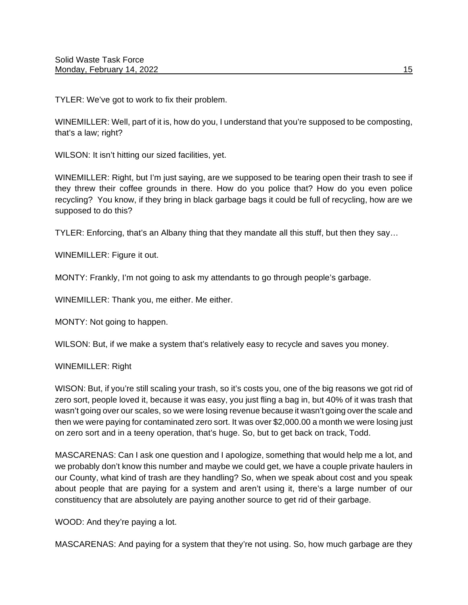TYLER: We've got to work to fix their problem.

WINEMILLER: Well, part of it is, how do you, I understand that you're supposed to be composting, that's a law; right?

WILSON: It isn't hitting our sized facilities, yet.

WINEMILLER: Right, but I'm just saying, are we supposed to be tearing open their trash to see if they threw their coffee grounds in there. How do you police that? How do you even police recycling? You know, if they bring in black garbage bags it could be full of recycling, how are we supposed to do this?

TYLER: Enforcing, that's an Albany thing that they mandate all this stuff, but then they say…

WINEMILLER: Figure it out.

MONTY: Frankly, I'm not going to ask my attendants to go through people's garbage.

WINEMILLER: Thank you, me either. Me either.

MONTY: Not going to happen.

WILSON: But, if we make a system that's relatively easy to recycle and saves you money.

## WINEMILLER: Right

WISON: But, if you're still scaling your trash, so it's costs you, one of the big reasons we got rid of zero sort, people loved it, because it was easy, you just fling a bag in, but 40% of it was trash that wasn't going over our scales, so we were losing revenue because it wasn't going over the scale and then we were paying for contaminated zero sort. It was over \$2,000.00 a month we were losing just on zero sort and in a teeny operation, that's huge. So, but to get back on track, Todd.

MASCARENAS: Can I ask one question and I apologize, something that would help me a lot, and we probably don't know this number and maybe we could get, we have a couple private haulers in our County, what kind of trash are they handling? So, when we speak about cost and you speak about people that are paying for a system and aren't using it, there's a large number of our constituency that are absolutely are paying another source to get rid of their garbage.

WOOD: And they're paying a lot.

MASCARENAS: And paying for a system that they're not using. So, how much garbage are they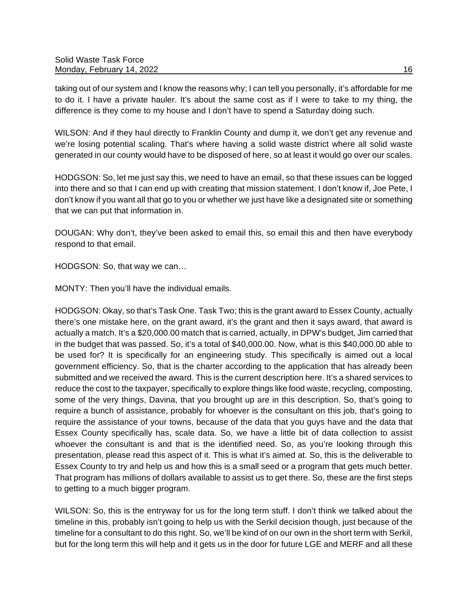taking out of our system and I know the reasons why; I can tell you personally, it's affordable for me to do it. I have a private hauler. It's about the same cost as if I were to take to my thing, the difference is they come to my house and I don't have to spend a Saturday doing such.

WILSON: And if they haul directly to Franklin County and dump it, we don't get any revenue and we're losing potential scaling. That's where having a solid waste district where all solid waste generated in our county would have to be disposed of here, so at least it would go over our scales.

HODGSON: So, let me just say this, we need to have an email, so that these issues can be logged into there and so that I can end up with creating that mission statement. I don't know if, Joe Pete, I don't know if you want all that go to you or whether we just have like a designated site or something that we can put that information in.

DOUGAN: Why don't, they've been asked to email this, so email this and then have everybody respond to that email.

HODGSON: So, that way we can…

MONTY: Then you'll have the individual emails.

HODGSON: Okay, so that's Task One. Task Two; this is the grant award to Essex County, actually there's one mistake here, on the grant award, it's the grant and then it says award, that award is actually a match. It's a \$20,000.00 match that is carried, actually, in DPW's budget, Jim carried that in the budget that was passed. So, it's a total of \$40,000.00. Now, what is this \$40,000.00 able to be used for? It is specifically for an engineering study. This specifically is aimed out a local government efficiency. So, that is the charter according to the application that has already been submitted and we received the award. This is the current description here. It's a shared services to reduce the cost to the taxpayer, specifically to explore things like food waste, recycling, composting, some of the very things, Davina, that you brought up are in this description. So, that's going to require a bunch of assistance, probably for whoever is the consultant on this job, that's going to require the assistance of your towns, because of the data that you guys have and the data that Essex County specifically has, scale data. So, we have a little bit of data collection to assist whoever the consultant is and that is the identified need. So, as you're looking through this presentation, please read this aspect of it. This is what it's aimed at. So, this is the deliverable to Essex County to try and help us and how this is a small seed or a program that gets much better. That program has millions of dollars available to assist us to get there. So, these are the first steps to getting to a much bigger program.

WILSON: So, this is the entryway for us for the long term stuff. I don't think we talked about the timeline in this, probably isn't going to help us with the Serkil decision though, just because of the timeline for a consultant to do this right. So, we'll be kind of on our own in the short term with Serkil, but for the long term this will help and it gets us in the door for future LGE and MERF and all these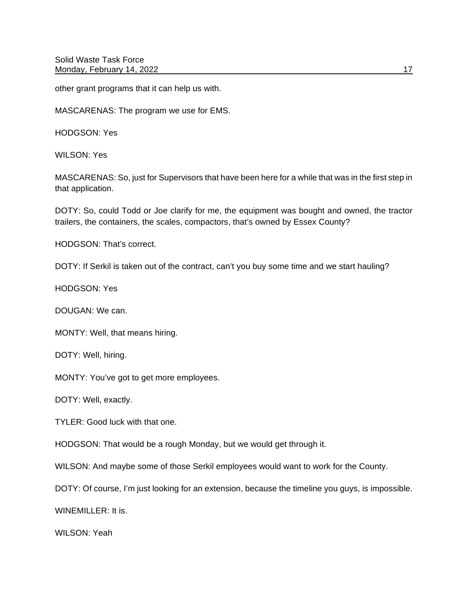Solid Waste Task Force Monday, February 14, 2022 **17** and 17

other grant programs that it can help us with.

MASCARENAS: The program we use for EMS.

HODGSON: Yes

WILSON: Yes

MASCARENAS: So, just for Supervisors that have been here for a while that was in the first step in that application.

DOTY: So, could Todd or Joe clarify for me, the equipment was bought and owned, the tractor trailers, the containers, the scales, compactors, that's owned by Essex County?

HODGSON: That's correct.

DOTY: If Serkil is taken out of the contract, can't you buy some time and we start hauling?

HODGSON: Yes

DOUGAN: We can.

MONTY: Well, that means hiring.

DOTY: Well, hiring.

MONTY: You've got to get more employees.

DOTY: Well, exactly.

TYLER: Good luck with that one.

HODGSON: That would be a rough Monday, but we would get through it.

WILSON: And maybe some of those Serkil employees would want to work for the County.

DOTY: Of course, I'm just looking for an extension, because the timeline you guys, is impossible.

WINEMILLER: It is.

WILSON: Yeah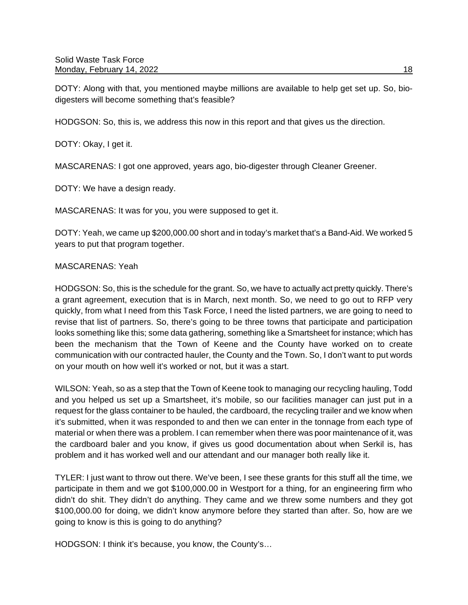DOTY: Along with that, you mentioned maybe millions are available to help get set up. So, biodigesters will become something that's feasible?

HODGSON: So, this is, we address this now in this report and that gives us the direction.

DOTY: Okay, I get it.

MASCARENAS: I got one approved, years ago, bio-digester through Cleaner Greener.

DOTY: We have a design ready.

MASCARENAS: It was for you, you were supposed to get it.

DOTY: Yeah, we came up \$200,000.00 short and in today's market that's a Band-Aid. We worked 5 years to put that program together.

## MASCARENAS: Yeah

HODGSON: So, this is the schedule for the grant. So, we have to actually act pretty quickly. There's a grant agreement, execution that is in March, next month. So, we need to go out to RFP very quickly, from what I need from this Task Force, I need the listed partners, we are going to need to revise that list of partners. So, there's going to be three towns that participate and participation looks something like this; some data gathering, something like a Smartsheet for instance; which has been the mechanism that the Town of Keene and the County have worked on to create communication with our contracted hauler, the County and the Town. So, I don't want to put words on your mouth on how well it's worked or not, but it was a start.

WILSON: Yeah, so as a step that the Town of Keene took to managing our recycling hauling, Todd and you helped us set up a Smartsheet, it's mobile, so our facilities manager can just put in a request for the glass container to be hauled, the cardboard, the recycling trailer and we know when it's submitted, when it was responded to and then we can enter in the tonnage from each type of material or when there was a problem. I can remember when there was poor maintenance of it, was the cardboard baler and you know, if gives us good documentation about when Serkil is, has problem and it has worked well and our attendant and our manager both really like it.

TYLER: I just want to throw out there. We've been, I see these grants for this stuff all the time, we participate in them and we got \$100,000.00 in Westport for a thing, for an engineering firm who didn't do shit. They didn't do anything. They came and we threw some numbers and they got \$100,000.00 for doing, we didn't know anymore before they started than after. So, how are we going to know is this is going to do anything?

HODGSON: I think it's because, you know, the County's…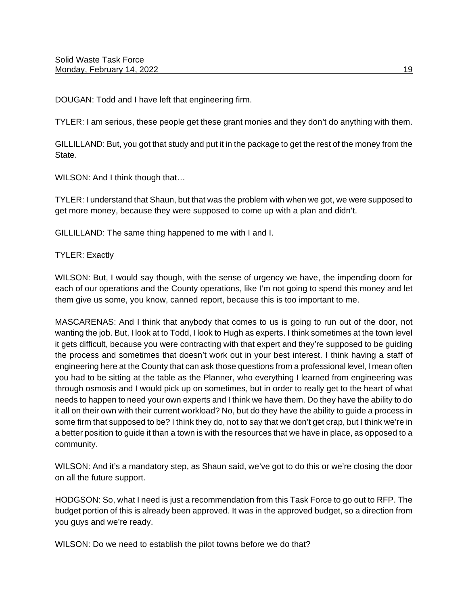DOUGAN: Todd and I have left that engineering firm.

TYLER: I am serious, these people get these grant monies and they don't do anything with them.

GILLILLAND: But, you got that study and put it in the package to get the rest of the money from the State.

WILSON: And I think though that...

TYLER: I understand that Shaun, but that was the problem with when we got, we were supposed to get more money, because they were supposed to come up with a plan and didn't.

GILLILLAND: The same thing happened to me with I and I.

TYLER: Exactly

WILSON: But, I would say though, with the sense of urgency we have, the impending doom for each of our operations and the County operations, like I'm not going to spend this money and let them give us some, you know, canned report, because this is too important to me.

MASCARENAS: And I think that anybody that comes to us is going to run out of the door, not wanting the job. But, I look at to Todd, I look to Hugh as experts. I think sometimes at the town level it gets difficult, because you were contracting with that expert and they're supposed to be guiding the process and sometimes that doesn't work out in your best interest. I think having a staff of engineering here at the County that can ask those questions from a professional level, I mean often you had to be sitting at the table as the Planner, who everything I learned from engineering was through osmosis and I would pick up on sometimes, but in order to really get to the heart of what needs to happen to need your own experts and I think we have them. Do they have the ability to do it all on their own with their current workload? No, but do they have the ability to guide a process in some firm that supposed to be? I think they do, not to say that we don't get crap, but I think we're in a better position to guide it than a town is with the resources that we have in place, as opposed to a community.

WILSON: And it's a mandatory step, as Shaun said, we've got to do this or we're closing the door on all the future support.

HODGSON: So, what I need is just a recommendation from this Task Force to go out to RFP. The budget portion of this is already been approved. It was in the approved budget, so a direction from you guys and we're ready.

WILSON: Do we need to establish the pilot towns before we do that?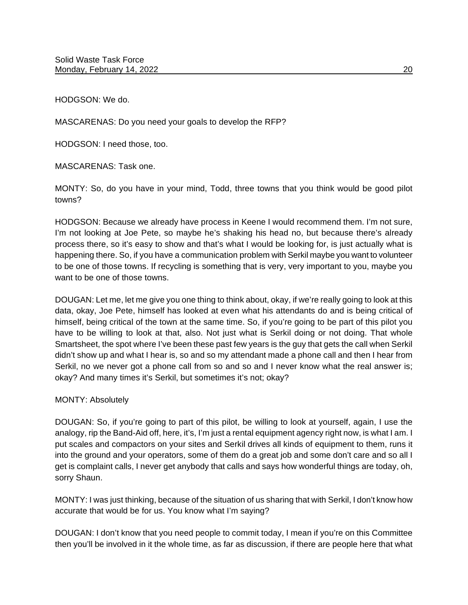HODGSON: We do.

MASCARENAS: Do you need your goals to develop the RFP?

HODGSON: I need those, too.

MASCARENAS: Task one.

MONTY: So, do you have in your mind, Todd, three towns that you think would be good pilot towns?

HODGSON: Because we already have process in Keene I would recommend them. I'm not sure, I'm not looking at Joe Pete, so maybe he's shaking his head no, but because there's already process there, so it's easy to show and that's what I would be looking for, is just actually what is happening there. So, if you have a communication problem with Serkil maybe you want to volunteer to be one of those towns. If recycling is something that is very, very important to you, maybe you want to be one of those towns.

DOUGAN: Let me, let me give you one thing to think about, okay, if we're really going to look at this data, okay, Joe Pete, himself has looked at even what his attendants do and is being critical of himself, being critical of the town at the same time. So, if you're going to be part of this pilot you have to be willing to look at that, also. Not just what is Serkil doing or not doing. That whole Smartsheet, the spot where I've been these past few years is the guy that gets the call when Serkil didn't show up and what I hear is, so and so my attendant made a phone call and then I hear from Serkil, no we never got a phone call from so and so and I never know what the real answer is; okay? And many times it's Serkil, but sometimes it's not; okay?

## MONTY: Absolutely

DOUGAN: So, if you're going to part of this pilot, be willing to look at yourself, again, I use the analogy, rip the Band-Aid off, here, it's, I'm just a rental equipment agency right now, is what I am. I put scales and compactors on your sites and Serkil drives all kinds of equipment to them, runs it into the ground and your operators, some of them do a great job and some don't care and so all I get is complaint calls, I never get anybody that calls and says how wonderful things are today, oh, sorry Shaun.

MONTY: I was just thinking, because of the situation of us sharing that with Serkil, I don't know how accurate that would be for us. You know what I'm saying?

DOUGAN: I don't know that you need people to commit today, I mean if you're on this Committee then you'll be involved in it the whole time, as far as discussion, if there are people here that what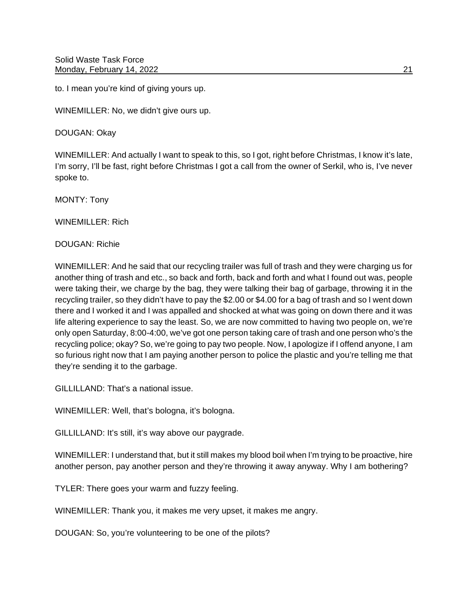to. I mean you're kind of giving yours up.

WINEMILLER: No, we didn't give ours up.

DOUGAN: Okay

WINEMILLER: And actually I want to speak to this, so I got, right before Christmas, I know it's late, I'm sorry, I'll be fast, right before Christmas I got a call from the owner of Serkil, who is, I've never spoke to.

MONTY: Tony

WINEMILLER: Rich

DOUGAN: Richie

WINEMILLER: And he said that our recycling trailer was full of trash and they were charging us for another thing of trash and etc., so back and forth, back and forth and what I found out was, people were taking their, we charge by the bag, they were talking their bag of garbage, throwing it in the recycling trailer, so they didn't have to pay the \$2.00 or \$4.00 for a bag of trash and so I went down there and I worked it and I was appalled and shocked at what was going on down there and it was life altering experience to say the least. So, we are now committed to having two people on, we're only open Saturday, 8:00-4:00, we've got one person taking care of trash and one person who's the recycling police; okay? So, we're going to pay two people. Now, I apologize if I offend anyone, I am so furious right now that I am paying another person to police the plastic and you're telling me that they're sending it to the garbage.

GILLILLAND: That's a national issue.

WINEMILLER: Well, that's bologna, it's bologna.

GILLILLAND: It's still, it's way above our paygrade.

WINEMILLER: I understand that, but it still makes my blood boil when I'm trying to be proactive, hire another person, pay another person and they're throwing it away anyway. Why I am bothering?

TYLER: There goes your warm and fuzzy feeling.

WINEMILLER: Thank you, it makes me very upset, it makes me angry.

DOUGAN: So, you're volunteering to be one of the pilots?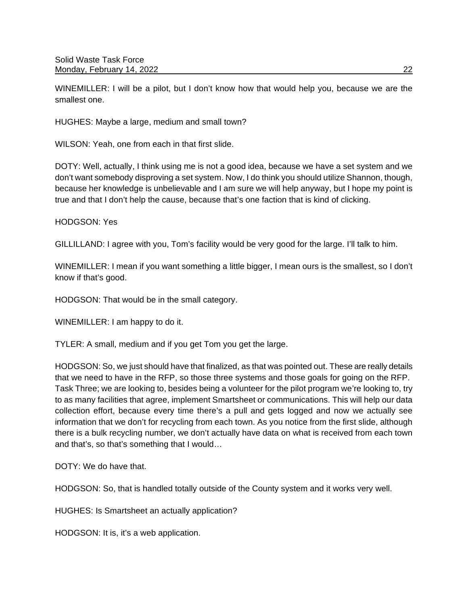WINEMILLER: I will be a pilot, but I don't know how that would help you, because we are the smallest one.

HUGHES: Maybe a large, medium and small town?

WILSON: Yeah, one from each in that first slide.

DOTY: Well, actually, I think using me is not a good idea, because we have a set system and we don't want somebody disproving a set system. Now, I do think you should utilize Shannon, though, because her knowledge is unbelievable and I am sure we will help anyway, but I hope my point is true and that I don't help the cause, because that's one faction that is kind of clicking.

HODGSON: Yes

GILLILLAND: I agree with you, Tom's facility would be very good for the large. I'll talk to him.

WINEMILLER: I mean if you want something a little bigger, I mean ours is the smallest, so I don't know if that's good.

HODGSON: That would be in the small category.

WINEMILLER: I am happy to do it.

TYLER: A small, medium and if you get Tom you get the large.

HODGSON: So, we just should have that finalized, as that was pointed out. These are really details that we need to have in the RFP, so those three systems and those goals for going on the RFP. Task Three; we are looking to, besides being a volunteer for the pilot program we're looking to, try to as many facilities that agree, implement Smartsheet or communications. This will help our data collection effort, because every time there's a pull and gets logged and now we actually see information that we don't for recycling from each town. As you notice from the first slide, although there is a bulk recycling number, we don't actually have data on what is received from each town and that's, so that's something that I would…

DOTY: We do have that.

HODGSON: So, that is handled totally outside of the County system and it works very well.

HUGHES: Is Smartsheet an actually application?

HODGSON: It is, it's a web application.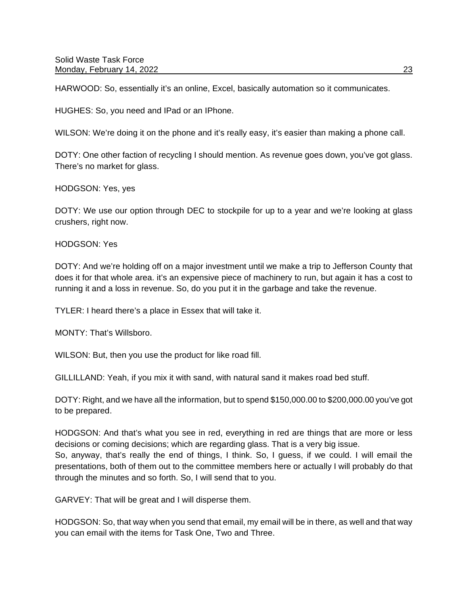HARWOOD: So, essentially it's an online, Excel, basically automation so it communicates.

HUGHES: So, you need and IPad or an IPhone.

WILSON: We're doing it on the phone and it's really easy, it's easier than making a phone call.

DOTY: One other faction of recycling I should mention. As revenue goes down, you've got glass. There's no market for glass.

#### HODGSON: Yes, yes

DOTY: We use our option through DEC to stockpile for up to a year and we're looking at glass crushers, right now.

#### HODGSON: Yes

DOTY: And we're holding off on a major investment until we make a trip to Jefferson County that does it for that whole area. it's an expensive piece of machinery to run, but again it has a cost to running it and a loss in revenue. So, do you put it in the garbage and take the revenue.

TYLER: I heard there's a place in Essex that will take it.

MONTY: That's Willsboro.

WILSON: But, then you use the product for like road fill.

GILLILLAND: Yeah, if you mix it with sand, with natural sand it makes road bed stuff.

DOTY: Right, and we have all the information, but to spend \$150,000.00 to \$200,000.00 you've got to be prepared.

HODGSON: And that's what you see in red, everything in red are things that are more or less decisions or coming decisions; which are regarding glass. That is a very big issue. So, anyway, that's really the end of things, I think. So, I guess, if we could. I will email the presentations, both of them out to the committee members here or actually I will probably do that through the minutes and so forth. So, I will send that to you.

GARVEY: That will be great and I will disperse them.

HODGSON: So, that way when you send that email, my email will be in there, as well and that way you can email with the items for Task One, Two and Three.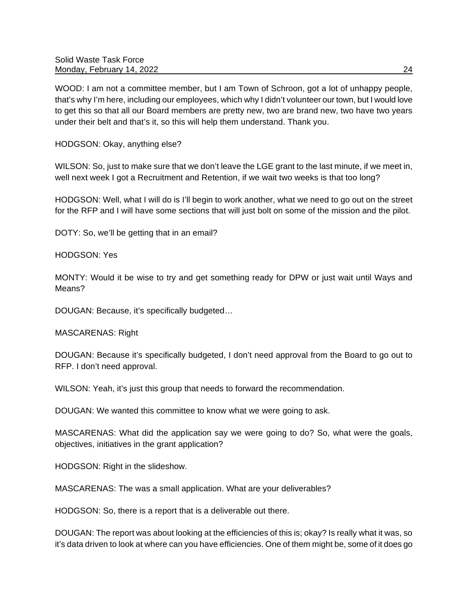WOOD: I am not a committee member, but I am Town of Schroon, got a lot of unhappy people, that's why I'm here, including our employees, which why I didn't volunteer our town, but I would love to get this so that all our Board members are pretty new, two are brand new, two have two years under their belt and that's it, so this will help them understand. Thank you.

HODGSON: Okay, anything else?

WILSON: So, just to make sure that we don't leave the LGE grant to the last minute, if we meet in, well next week I got a Recruitment and Retention, if we wait two weeks is that too long?

HODGSON: Well, what I will do is I'll begin to work another, what we need to go out on the street for the RFP and I will have some sections that will just bolt on some of the mission and the pilot.

DOTY: So, we'll be getting that in an email?

HODGSON: Yes

MONTY: Would it be wise to try and get something ready for DPW or just wait until Ways and Means?

DOUGAN: Because, it's specifically budgeted…

MASCARENAS: Right

DOUGAN: Because it's specifically budgeted, I don't need approval from the Board to go out to RFP. I don't need approval.

WILSON: Yeah, it's just this group that needs to forward the recommendation.

DOUGAN: We wanted this committee to know what we were going to ask.

MASCARENAS: What did the application say we were going to do? So, what were the goals, objectives, initiatives in the grant application?

HODGSON: Right in the slideshow.

MASCARENAS: The was a small application. What are your deliverables?

HODGSON: So, there is a report that is a deliverable out there.

DOUGAN: The report was about looking at the efficiencies of this is; okay? Is really what it was, so it's data driven to look at where can you have efficiencies. One of them might be, some of it does go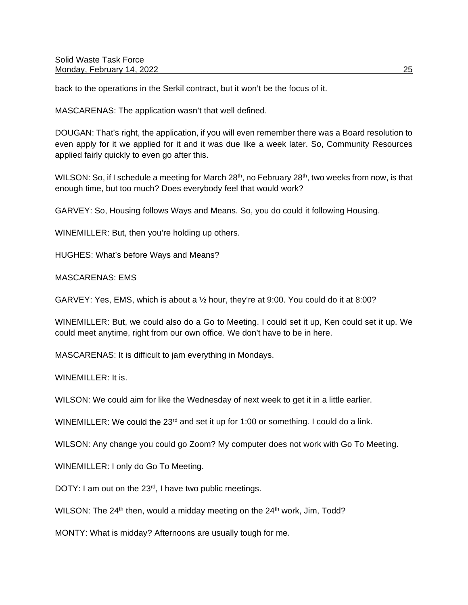back to the operations in the Serkil contract, but it won't be the focus of it.

MASCARENAS: The application wasn't that well defined.

DOUGAN: That's right, the application, if you will even remember there was a Board resolution to even apply for it we applied for it and it was due like a week later. So, Community Resources applied fairly quickly to even go after this.

WILSON: So, if I schedule a meeting for March  $28<sup>th</sup>$ , no February  $28<sup>th</sup>$ , two weeks from now, is that enough time, but too much? Does everybody feel that would work?

GARVEY: So, Housing follows Ways and Means. So, you do could it following Housing.

WINEMILLER: But, then you're holding up others.

HUGHES: What's before Ways and Means?

MASCARENAS: EMS

GARVEY: Yes, EMS, which is about a  $\frac{1}{2}$  hour, they're at 9:00. You could do it at 8:00?

WINEMILLER: But, we could also do a Go to Meeting. I could set it up, Ken could set it up. We could meet anytime, right from our own office. We don't have to be in here.

MASCARENAS: It is difficult to jam everything in Mondays.

WINEMILLER: It is.

WILSON: We could aim for like the Wednesday of next week to get it in a little earlier.

WINEMILLER: We could the  $23<sup>rd</sup>$  and set it up for 1:00 or something. I could do a link.

WILSON: Any change you could go Zoom? My computer does not work with Go To Meeting.

WINEMILLER: I only do Go To Meeting.

DOTY: I am out on the 23<sup>rd</sup>, I have two public meetings.

WILSON: The  $24<sup>th</sup>$  then, would a midday meeting on the  $24<sup>th</sup>$  work, Jim, Todd?

MONTY: What is midday? Afternoons are usually tough for me.